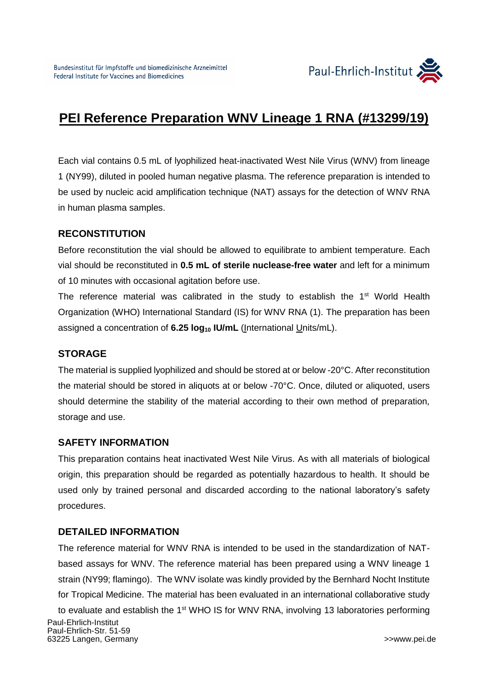

# **PEI Reference Preparation WNV Lineage 1 RNA (#13299/19)**

Each vial contains 0.5 mL of lyophilized heat-inactivated West Nile Virus (WNV) from lineage 1 (NY99), diluted in pooled human negative plasma. The reference preparation is intended to be used by nucleic acid amplification technique (NAT) assays for the detection of WNV RNA in human plasma samples.

#### **RECONSTITUTION**

Before reconstitution the vial should be allowed to equilibrate to ambient temperature. Each vial should be reconstituted in **0.5 mL of sterile nuclease-free water** and left for a minimum of 10 minutes with occasional agitation before use.

The reference material was calibrated in the study to establish the 1<sup>st</sup> World Health Organization (WHO) International Standard (IS) for WNV RNA (1). The preparation has been assigned a concentration of **6.25 log<sup>10</sup> IU/mL** (International Units/mL).

#### **STORAGE**

The material is supplied lyophilized and should be stored at or below -20°C. After reconstitution the material should be stored in aliquots at or below -70°C. Once, diluted or aliquoted, users should determine the stability of the material according to their own method of preparation, storage and use.

#### **SAFETY INFORMATION**

This preparation contains heat inactivated West Nile Virus. As with all materials of biological origin, this preparation should be regarded as potentially hazardous to health. It should be used only by trained personal and discarded according to the national laboratory's safety procedures.

### **DETAILED INFORMATION**

The reference material for WNV RNA is intended to be used in the standardization of NATbased assays for WNV. The reference material has been prepared using a WNV lineage 1 strain (NY99; flamingo). The WNV isolate was kindly provided by the Bernhard Nocht Institute for Tropical Medicine. The material has been evaluated in an international collaborative study

 Paul-Ehrlich-Institut Paul-Ehrlich-Str. 51-59 63225 Langen, Germany>[>www.pei.de](http://www.pei.de/) to evaluate and establish the 1<sup>st</sup> WHO IS for WNV RNA, involving 13 laboratories performing